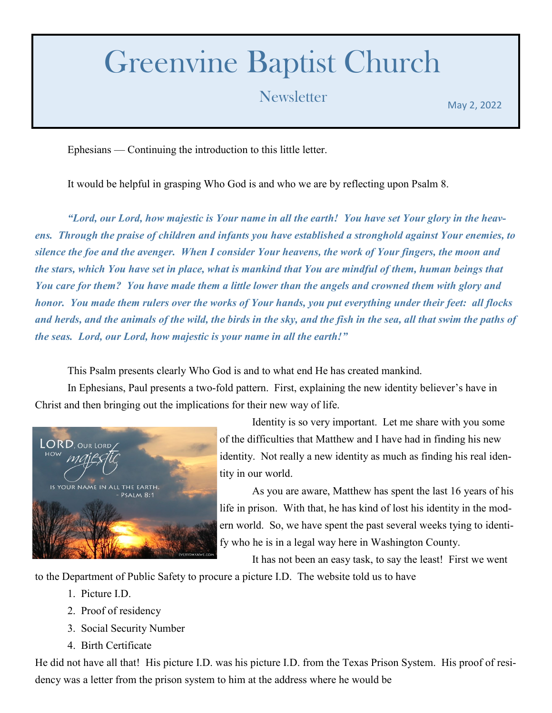## Greenvine Baptist Church

## Newsletter May 2, 2022

Ephesians — Continuing the introduction to this little letter.

It would be helpful in grasping Who God is and who we are by reflecting upon Psalm 8.

*"Lord, our Lord, how majestic is Your name in all the earth! You have set Your glory in the heavens. Through the praise of children and infants you have established a stronghold against Your enemies, to silence the foe and the avenger. When I consider Your heavens, the work of Your fingers, the moon and the stars, which You have set in place, what is mankind that You are mindful of them, human beings that You care for them? You have made them a little lower than the angels and crowned them with glory and honor. You made them rulers over the works of Your hands, you put everything under their feet: all flocks and herds, and the animals of the wild, the birds in the sky, and the fish in the sea, all that swim the paths of the seas. Lord, our Lord, how majestic is your name in all the earth!"*

This Psalm presents clearly Who God is and to what end He has created mankind.

In Ephesians, Paul presents a two-fold pattern. First, explaining the new identity believer's have in Christ and then bringing out the implications for their new way of life.



Identity is so very important. Let me share with you some of the difficulties that Matthew and I have had in finding his new identity. Not really a new identity as much as finding his real identity in our world.

As you are aware, Matthew has spent the last 16 years of his life in prison. With that, he has kind of lost his identity in the modern world. So, we have spent the past several weeks tying to identify who he is in a legal way here in Washington County.

It has not been an easy task, to say the least! First we went

to the Department of Public Safety to procure a picture I.D. The website told us to have

- 1. Picture I.D.
- 2. Proof of residency
- 3. Social Security Number
- 4. Birth Certificate

He did not have all that! His picture I.D. was his picture I.D. from the Texas Prison System. His proof of residency was a letter from the prison system to him at the address where he would be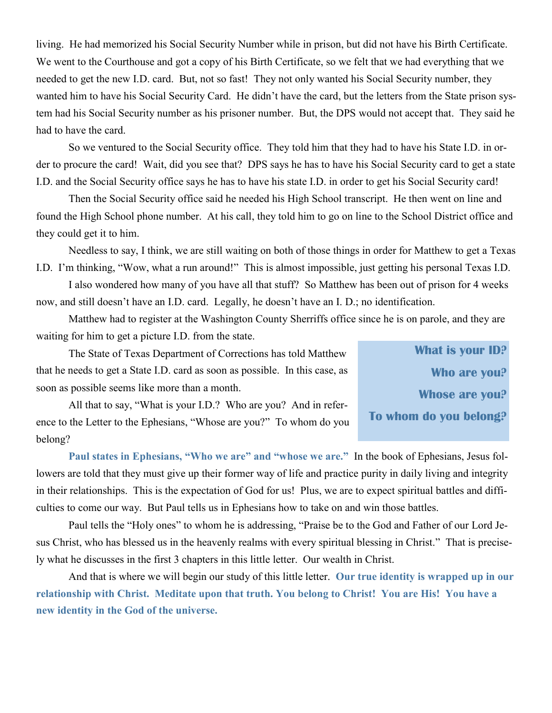living. He had memorized his Social Security Number while in prison, but did not have his Birth Certificate. We went to the Courthouse and got a copy of his Birth Certificate, so we felt that we had everything that we needed to get the new I.D. card. But, not so fast! They not only wanted his Social Security number, they wanted him to have his Social Security Card. He didn't have the card, but the letters from the State prison system had his Social Security number as his prisoner number. But, the DPS would not accept that. They said he had to have the card.

So we ventured to the Social Security office. They told him that they had to have his State I.D. in order to procure the card! Wait, did you see that? DPS says he has to have his Social Security card to get a state I.D. and the Social Security office says he has to have his state I.D. in order to get his Social Security card!

Then the Social Security office said he needed his High School transcript. He then went on line and found the High School phone number. At his call, they told him to go on line to the School District office and they could get it to him.

Needless to say, I think, we are still waiting on both of those things in order for Matthew to get a Texas I.D. I'm thinking, "Wow, what a run around!" This is almost impossible, just getting his personal Texas I.D.

I also wondered how many of you have all that stuff? So Matthew has been out of prison for 4 weeks now, and still doesn't have an I.D. card. Legally, he doesn't have an I. D.; no identification.

Matthew had to register at the Washington County Sherriffs office since he is on parole, and they are waiting for him to get a picture I.D. from the state.

The State of Texas Department of Corrections has told Matthew that he needs to get a State I.D. card as soon as possible. In this case, as soon as possible seems like more than a month.

All that to say, "What is your I.D.? Who are you? And in reference to the Letter to the Ephesians, "Whose are you?" To whom do you belong?

**What is your ID? Who are you? Whose are you? To whom do you belong?** 

**Paul states in Ephesians, "Who we are" and "whose we are."** In the book of Ephesians, Jesus followers are told that they must give up their former way of life and practice purity in daily living and integrity in their relationships. This is the expectation of God for us! Plus, we are to expect spiritual battles and difficulties to come our way. But Paul tells us in Ephesians how to take on and win those battles.

Paul tells the "Holy ones" to whom he is addressing, "Praise be to the God and Father of our Lord Jesus Christ, who has blessed us in the heavenly realms with every spiritual blessing in Christ." That is precisely what he discusses in the first 3 chapters in this little letter. Our wealth in Christ.

And that is where we will begin our study of this little letter. **Our true identity is wrapped up in our relationship with Christ. Meditate upon that truth. You belong to Christ! You are His! You have a new identity in the God of the universe.**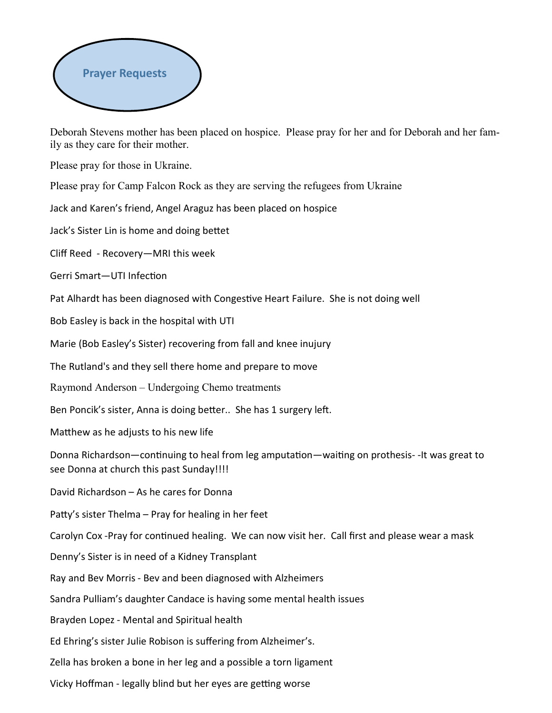

Deborah Stevens mother has been placed on hospice. Please pray for her and for Deborah and her family as they care for their mother.

Please pray for those in Ukraine.

Please pray for Camp Falcon Rock as they are serving the refugees from Ukraine

Jack and Karen's friend, Angel Araguz has been placed on hospice

Jack's Sister Lin is home and doing bettet

Cliff Reed - Recovery—MRI this week

Gerri Smart—UTI Infection

Pat Alhardt has been diagnosed with Congestive Heart Failure. She is not doing well

Bob Easley is back in the hospital with UTI

Marie (Bob Easley's Sister) recovering from fall and knee inujury

The Rutland's and they sell there home and prepare to move

Raymond Anderson – Undergoing Chemo treatments

Ben Poncik's sister, Anna is doing better.. She has 1 surgery left.

Matthew as he adjusts to his new life

Donna Richardson—continuing to heal from leg amputation—waiting on prothesis- -It was great to see Donna at church this past Sunday!!!!

David Richardson – As he cares for Donna

Patty's sister Thelma – Pray for healing in her feet

Carolyn Cox -Pray for continued healing. We can now visit her. Call first and please wear a mask

Denny's Sister is in need of a Kidney Transplant

Ray and Bev Morris - Bev and been diagnosed with Alzheimers

Sandra Pulliam's daughter Candace is having some mental health issues

Brayden Lopez - Mental and Spiritual health

Ed Ehring's sister Julie Robison is suffering from Alzheimer's.

Zella has broken a bone in her leg and a possible a torn ligament

Vicky Hoffman - legally blind but her eyes are getting worse